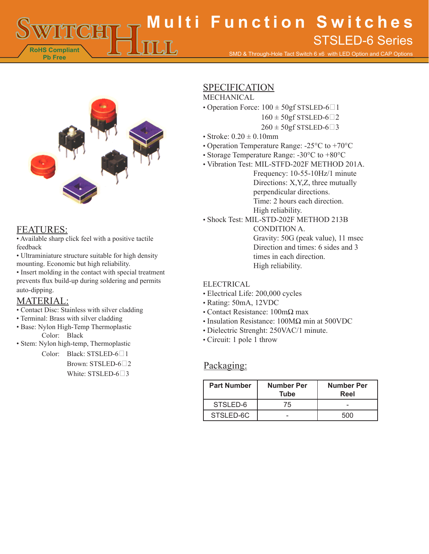**RoHS Compliant Pb Free Multi Function Switches** SMD & Through-Hole Tact Switch 6 x6 with LED Option and CAP Options STSLED-6 Series



### FEATURES:

• Available sharp click feel with a positive tactile feedback

• Ultraminiature structure suitable for high density mounting. Economic but high reliability.

• Insert molding in the contact with special treatment prevents flux build-up during soldering and permits auto-dipping.

## MATERIAL:

- Contact Disc: Stainless with silver cladding
- Terminal: Brass with silver cladding
- Base: Nylon High-Temp Thermoplastic Color: Black
- Stem: Nylon high-temp, Thermoplastic

Color: Black: STSLED-6<sup>1</sup> Brown: STSLED-6<sup>2</sup> White:  $STSLED-6\square$ 3

# SPECIFICATION

### MECHANICAL

- Operation Force:  $100 \pm 50$ gf STSLED-6 $\Box$ 1
	- $160 \pm 50$ gf STSLED-6 $\Box$ 2
	- $260 \pm 50$ gf STSLED-6 $\Box$ 3
- Stroke:  $0.20 \pm 0.10$ mm
- Operation Temperature Range: -25°C to +70°C
- Storage Temperature Range: -30°C to +80°C
- Vibration Test: MIL-STFD-202F METHOD 201A. Frequency: 10-55-10Hz/1 minute Directions: X,Y,Z, three mutually perpendicular directions. Time: 2 hours each direction. High reliability.
- Shock Test: MIL-STD-202F METHOD 213B
	- CONDITION A. Gravity: 50G (peak value), 11 msec Direction and times: 6 sides and 3 times in each direction. High reliability.

#### ELECTRICAL

- Electrical Life: 200,000 cycles
- Rating: 50mA, 12VDC
- Contact Resistance: 100mΩ max
- Insulation Resistance: 100MΩ min at 500VDC
- Dielectric Strenght: 250VAC/1 minute.
- Circuit: 1 pole 1 throw

#### Packaging:

| <b>Part Number</b> | <b>Number Per</b><br>Tube | <b>Number Per</b><br>Reel |
|--------------------|---------------------------|---------------------------|
| STSLED-6           | 75                        |                           |
| STSLED-6C          |                           | 500                       |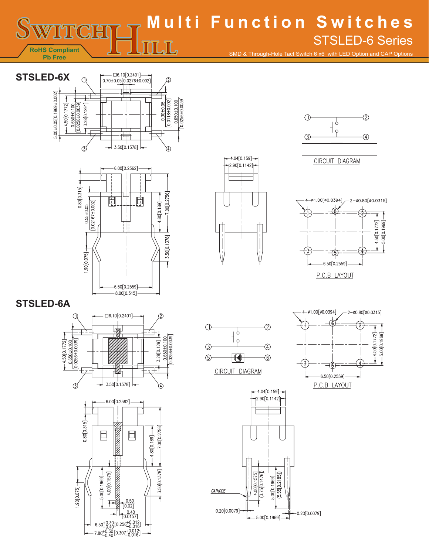**Multi Function Switches** STSLED-6 Series $\overline{\text{L/L}}$ **RoHS Compliant** SMD & Through-Hole Tact Switch 6 x6 with LED Option and CAP Options **Pb Free**











## **STSLED-6A**



 $4.00[0.1575]$ **HARRY AREA** 

> $\frac{0.50}{[0.02]}$  $\frac{0.40}{[0.0157]}$

 $6.50^{+0.30}_{-0.40}[0.256^{+0.012}_{-0.016}]$ <br>7.80<sup>+0.30</sup><sub>[0.307</sub>+0.012]<br>7.80<sup>+0.30</sup><sub>[0.307</sub>+0.012]

 $-5.00[0.1969] -$ 

 $-50000000$ 

3.50[0.1378]

Ŧ





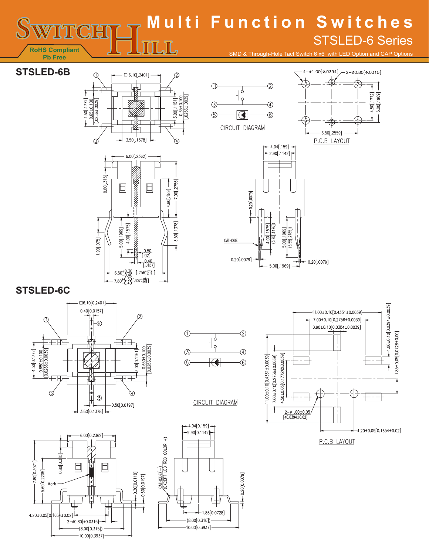# **Multi Function Switches** STSLED-6 Series $\mathbb{L} \mathbb{L}$

SMD & Through-Hole Tact Switch 6 x6 with LED Option and CAP Options

# **STSLED-6B**

**RoHS Compliant Pb Free**







# **STSLED-6C**







CIRCUIT DIAGRAM